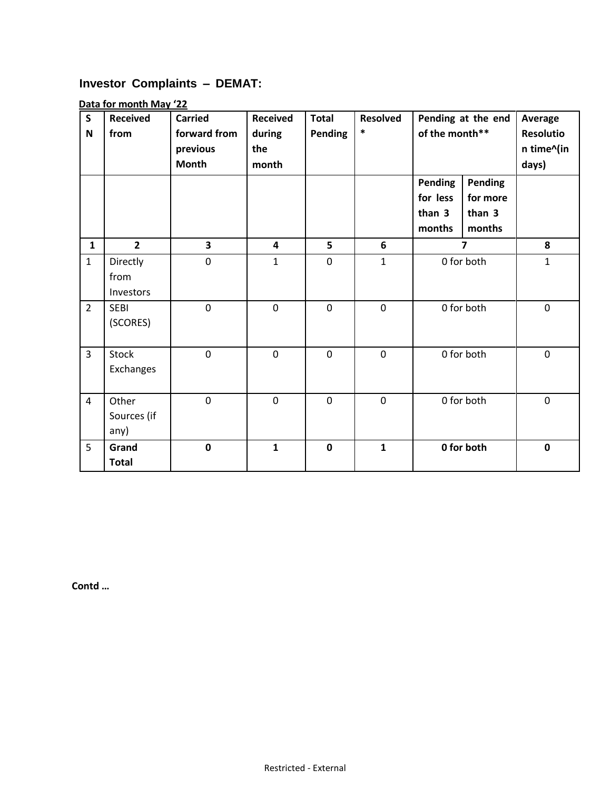## **Investor Complaints – DEMAT:**

## **Data for month May '22**

| $\mathsf{S}$<br>N | <b>Received</b><br>from       | <b>Carried</b><br>forward from<br>previous<br><b>Month</b> | <b>Received</b><br>during<br>the<br>month | <b>Total</b><br>Pending | <b>Resolved</b><br>$\ast$ | Pending at the end<br>of the month**    |                                         | Average<br><b>Resolutio</b><br>n time^(in<br>days) |
|-------------------|-------------------------------|------------------------------------------------------------|-------------------------------------------|-------------------------|---------------------------|-----------------------------------------|-----------------------------------------|----------------------------------------------------|
|                   |                               |                                                            |                                           |                         |                           | Pending<br>for less<br>than 3<br>months | Pending<br>for more<br>than 3<br>months |                                                    |
| $\mathbf{1}$      | $\overline{2}$                | 3                                                          | $\overline{\mathbf{4}}$                   | 5                       | 6                         | $\overline{7}$                          |                                         | 8                                                  |
| $\mathbf{1}$      | Directly<br>from<br>Investors | $\pmb{0}$                                                  | $\mathbf{1}$                              | $\mathbf 0$             | $\mathbf{1}$              | 0 for both                              |                                         | $\mathbf{1}$                                       |
| $\overline{2}$    | <b>SEBI</b><br>(SCORES)       | $\mathbf 0$                                                | $\mathbf 0$                               | $\mathbf 0$             | $\mathbf 0$               | 0 for both                              |                                         | $\mathbf 0$                                        |
| $\overline{3}$    | Stock<br>Exchanges            | $\mathbf 0$                                                | $\mathbf 0$                               | $\mathbf 0$             | $\mathbf 0$               | 0 for both                              |                                         | $\mathbf 0$                                        |
| $\overline{4}$    | Other<br>Sources (if<br>any)  | $\mathbf 0$                                                | $\mathbf 0$                               | $\mathbf 0$             | $\mathbf 0$               | 0 for both                              |                                         | $\mathbf 0$                                        |
| 5                 | Grand<br><b>Total</b>         | $\mathbf 0$                                                | $\mathbf{1}$                              | $\mathbf 0$             | $\mathbf 1$               | 0 for both                              |                                         | $\mathbf 0$                                        |

**Contd …**